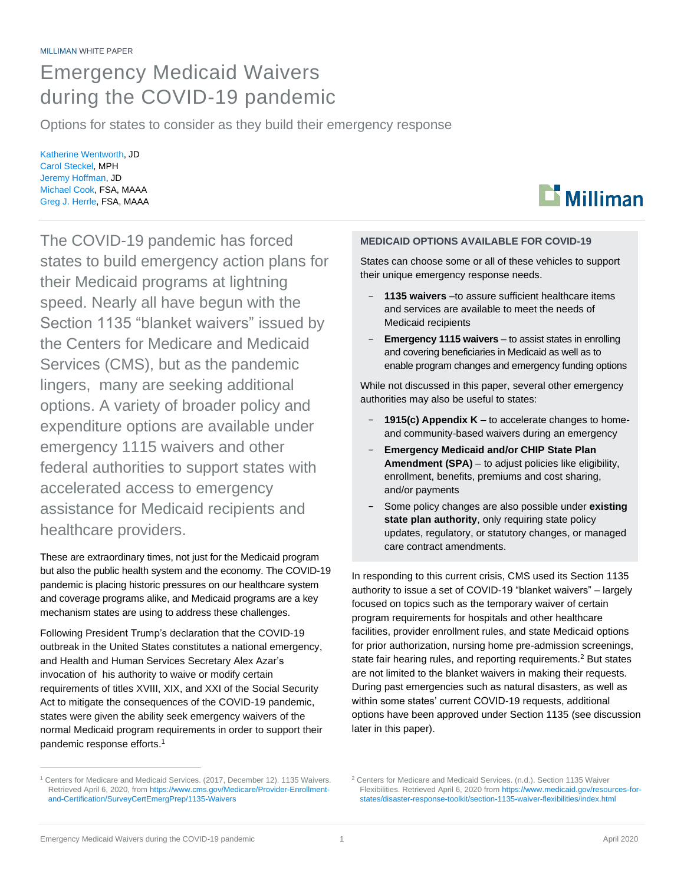## Emergency Medicaid Waivers during the COVID-19 pandemic

Options for states to consider as they build their emergency response

Katherine Wentworth, JD Carol Steckel, MPH Jeremy Hoffman, JD Michael Cook, FSA, MAAA Greg J. Herrle, FSA, MAAA

The COVID-19 pandemic has forced states to build emergency action plans for their Medicaid programs at lightning speed. Nearly all have begun with the Section 1135 "blanket waivers" issued by the Centers for Medicare and Medicaid Services (CMS), but as the pandemic lingers, many are seeking additional options. A variety of broader policy and expenditure options are available under emergency 1115 waivers and other federal authorities to support states with accelerated access to emergency assistance for Medicaid recipients and healthcare providers.

These are extraordinary times, not just for the Medicaid program but also the public health system and the economy. The COVID-19 pandemic is placing historic pressures on our healthcare system and coverage programs alike, and Medicaid programs are a key mechanism states are using to address these challenges.

Following President Trump's declaration that the COVID-19 outbreak in the United States constitutes a national emergency, and Health and Human Services Secretary Alex Azar's invocation of his authority to waive or modify certain requirements of titles XVIII, XIX, and XXI of the Social Security Act to mitigate the consequences of the COVID-19 pandemic, states were given the ability seek emergency waivers of the normal Medicaid program requirements in order to support their pandemic response efforts.<sup>1</sup>

#### **MEDICAID OPTIONS AVAILABLE FOR COVID-19**

States can choose some or all of these vehicles to support their unique emergency response needs.

- − **1135 waivers** –to assure sufficient healthcare items and services are available to meet the needs of Medicaid recipients
- **Emergency 1115 waivers** to assist states in enrolling and covering beneficiaries in Medicaid as well as to enable program changes and emergency funding options

While not discussed in this paper, several other emergency authorities may also be useful to states:

- − **1915(c) Appendix K** to accelerate changes to homeand community-based waivers during an emergency
- − **Emergency Medicaid and/or CHIP State Plan Amendment (SPA)** – to adjust policies like eligibility, enrollment, benefits, premiums and cost sharing, and/or payments
- Some policy changes are also possible under **existing state plan authority**, only requiring state policy updates, regulatory, or statutory changes, or managed care contract amendments.

In responding to this current crisis, CMS used its Section 1135 authority to issue a set of COVID-19 "blanket waivers" – largely focused on topics such as the temporary waiver of certain program requirements for hospitals and other healthcare facilities, provider enrollment rules, and state Medicaid options for prior authorization, nursing home pre-admission screenings, state fair hearing rules, and reporting requirements.<sup>2</sup> But states are not limited to the blanket waivers in making their requests. During past emergencies such as natural disasters, as well as within some states' current COVID-19 requests, additional options have been approved under Section 1135 (see discussion later in this paper).



<sup>&</sup>lt;sup>1</sup> Centers for Medicare and Medicaid Services. (2017, December 12). 1135 Waivers. Retrieved April 6, 2020, fro[m https://www.cms.gov/Medicare/Provider-Enrollment](https://www.cms.gov/Medicare/Provider-Enrollment-and-Certification/SurveyCertEmergPrep/1135-Waivers)[and-Certification/SurveyCertEmergPrep/1135-Waivers](https://www.cms.gov/Medicare/Provider-Enrollment-and-Certification/SurveyCertEmergPrep/1135-Waivers)

<sup>2</sup> Centers for Medicare and Medicaid Services. (n.d.). Section 1135 Waiver Flexibilities. Retrieved April 6, 2020 fro[m https://www.medicaid.gov/resources-for](https://www.medicaid.gov/resources-for-states/disaster-response-toolkit/section-1135-waiver-flexibilities/index.html)[states/disaster-response-toolkit/section-1135-waiver-flexibilities/index.html](https://www.medicaid.gov/resources-for-states/disaster-response-toolkit/section-1135-waiver-flexibilities/index.html)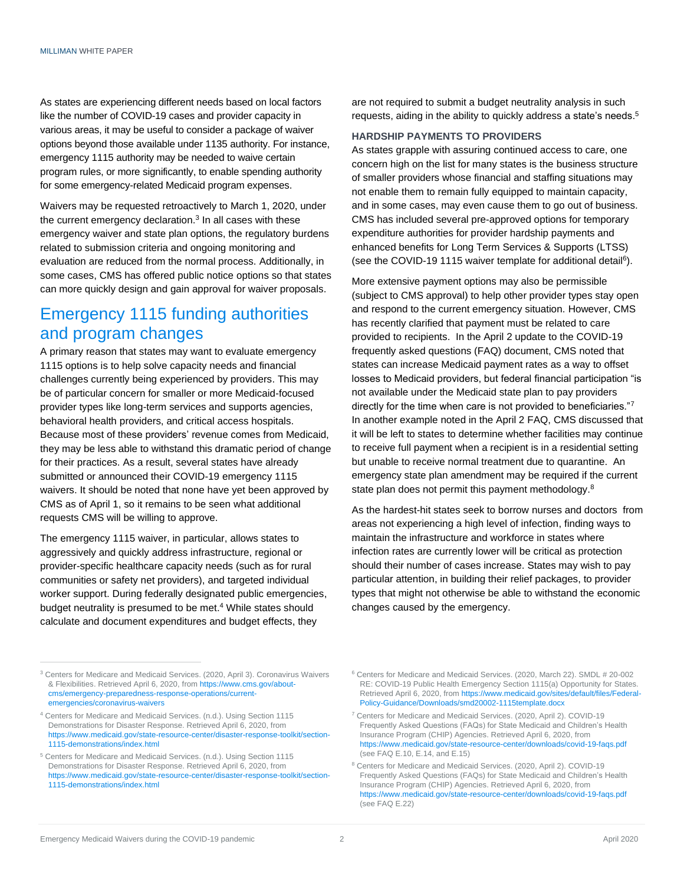As states are experiencing different needs based on local factors like the number of COVID-19 cases and provider capacity in various areas, it may be useful to consider a package of waiver options beyond those available under 1135 authority. For instance, emergency 1115 authority may be needed to waive certain program rules, or more significantly, to enable spending authority for some emergency-related Medicaid program expenses.

Waivers may be requested retroactively to March 1, 2020, under the current emergency declaration.<sup>3</sup> In all cases with these emergency waiver and state plan options, the regulatory burdens related to submission criteria and ongoing monitoring and evaluation are reduced from the normal process. Additionally, in some cases, CMS has offered public notice options so that states can more quickly design and gain approval for waiver proposals.

## Emergency 1115 funding authorities and program changes

A primary reason that states may want to evaluate emergency 1115 options is to help solve capacity needs and financial challenges currently being experienced by providers. This may be of particular concern for smaller or more Medicaid-focused provider types like long-term services and supports agencies, behavioral health providers, and critical access hospitals. Because most of these providers' revenue comes from Medicaid, they may be less able to withstand this dramatic period of change for their practices. As a result, several states have already submitted or announced their COVID-19 emergency 1115 waivers. It should be noted that none have yet been approved by CMS as of April 1, so it remains to be seen what additional requests CMS will be willing to approve.

The emergency 1115 waiver, in particular, allows states to aggressively and quickly address infrastructure, regional or provider-specific healthcare capacity needs (such as for rural communities or safety net providers), and targeted individual worker support. During federally designated public emergencies, budget neutrality is presumed to be met. <sup>4</sup> While states should calculate and document expenditures and budget effects, they

are not required to submit a budget neutrality analysis in such requests, aiding in the ability to quickly address a state's needs.<sup>5</sup>

#### **HARDSHIP PAYMENTS TO PROVIDERS**

As states grapple with assuring continued access to care, one concern high on the list for many states is the business structure of smaller providers whose financial and staffing situations may not enable them to remain fully equipped to maintain capacity, and in some cases, may even cause them to go out of business. CMS has included several pre-approved options for temporary expenditure authorities for provider hardship payments and enhanced benefits for Long Term Services & Supports (LTSS) (see the COVID-19 1115 waiver template for additional detail<sup>6</sup>).

More extensive payment options may also be permissible (subject to CMS approval) to help other provider types stay open and respond to the current emergency situation. However, CMS has recently clarified that payment must be related to care provided to recipients. In the April 2 update to the COVID-19 frequently asked questions (FAQ) document, CMS noted that states can increase Medicaid payment rates as a way to offset losses to Medicaid providers, but federal financial participation "is not available under the Medicaid state plan to pay providers directly for the time when care is not provided to beneficiaries."7 In another example noted in the April 2 FAQ, CMS discussed that it will be left to states to determine whether facilities may continue to receive full payment when a recipient is in a residential setting but unable to receive normal treatment due to quarantine. An emergency state plan amendment may be required if the current state plan does not permit this payment methodology.<sup>8</sup>

As the hardest-hit states seek to borrow nurses and doctors from areas not experiencing a high level of infection, finding ways to maintain the infrastructure and workforce in states where infection rates are currently lower will be critical as protection should their number of cases increase. States may wish to pay particular attention, in building their relief packages, to provider types that might not otherwise be able to withstand the economic changes caused by the emergency.

<sup>3</sup> Centers for Medicare and Medicaid Services. (2020, April 3). Coronavirus Waivers & Flexibilities. Retrieved April 6, 2020, from [https://www.cms.gov/about](https://www.cms.gov/about-cms/emergency-preparedness-response-operations/current-emergencies/coronavirus-waivers)[cms/emergency-preparedness-response-operations/current](https://www.cms.gov/about-cms/emergency-preparedness-response-operations/current-emergencies/coronavirus-waivers)[emergencies/coronavirus-waivers](https://www.cms.gov/about-cms/emergency-preparedness-response-operations/current-emergencies/coronavirus-waivers)

<sup>4</sup> Centers for Medicare and Medicaid Services. (n.d.). Using Section 1115 Demonstrations for Disaster Response. Retrieved April 6, 2020, from [https://www.medicaid.gov/state-resource-center/disaster-response-toolkit/section-](https://www.medicaid.gov/state-resource-center/disaster-response-toolkit/section-1115-demonstrations/index.html)[1115-demonstrations/index.html](https://www.medicaid.gov/state-resource-center/disaster-response-toolkit/section-1115-demonstrations/index.html)

<sup>5</sup> Centers for Medicare and Medicaid Services. (n.d.). Using Section 1115 Demonstrations for Disaster Response. Retrieved April 6, 2020, from [https://www.medicaid.gov/state-resource-center/disaster-response-toolkit/section-](https://www.medicaid.gov/state-resource-center/disaster-response-toolkit/section-1115-demonstrations/index.html)[1115-demonstrations/index.html](https://www.medicaid.gov/state-resource-center/disaster-response-toolkit/section-1115-demonstrations/index.html)

<sup>6</sup> Centers for Medicare and Medicaid Services. (2020, March 22). SMDL # 20-002 RE: COVID-19 Public Health Emergency Section 1115(a) Opportunity for States. Retrieved April 6, 2020, fro[m https://www.medicaid.gov/sites/default/files/Federal-](https://www.medicaid.gov/sites/default/files/Federal-Policy-Guidance/Downloads/smd20002-1115template.docx)[Policy-Guidance/Downloads/smd20002-1115template.docx](https://www.medicaid.gov/sites/default/files/Federal-Policy-Guidance/Downloads/smd20002-1115template.docx)

<sup>7</sup> Centers for Medicare and Medicaid Services. (2020, April 2). COVID-19 Frequently Asked Questions (FAQs) for State Medicaid and Children's Health Insurance Program (CHIP) Agencies. Retrieved April 6, 2020, from <https://www.medicaid.gov/state-resource-center/downloads/covid-19-faqs.pdf> (see FAQ E.10, E.14, and E.15)

<sup>8</sup> Centers for Medicare and Medicaid Services. (2020, April 2). COVID-19 Frequently Asked Questions (FAQs) for State Medicaid and Children's Health Insurance Program (CHIP) Agencies. Retrieved April 6, 2020, from <https://www.medicaid.gov/state-resource-center/downloads/covid-19-faqs.pdf> (see FAQ E.22)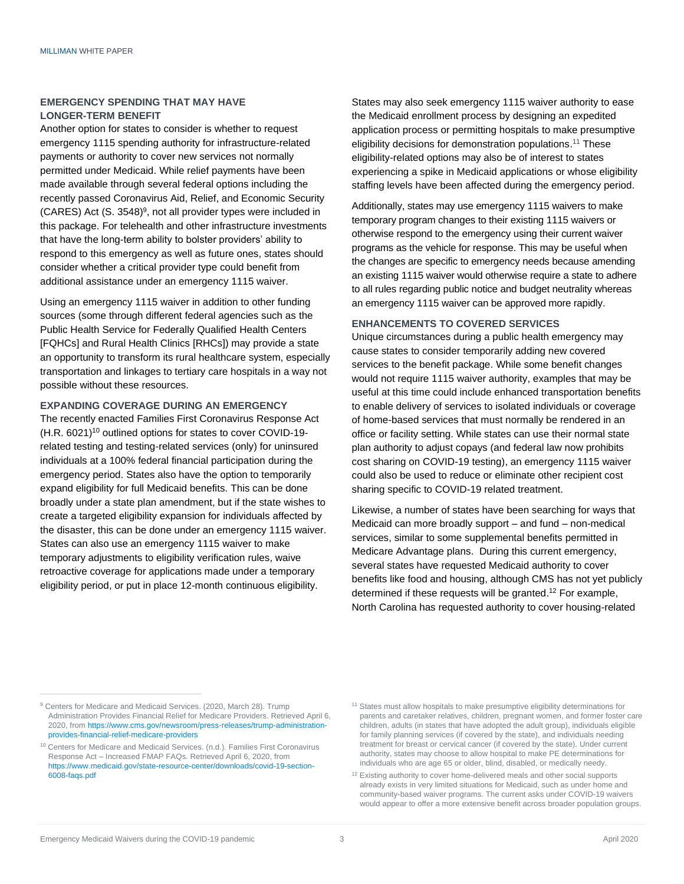#### **EMERGENCY SPENDING THAT MAY HAVE LONGER-TERM BENEFIT**

Another option for states to consider is whether to request emergency 1115 spending authority for infrastructure-related payments or authority to cover new services not normally permitted under Medicaid. While relief payments have been made available through several federal options including the recently passed Coronavirus Aid, Relief, and Economic Security  $(CARES)$  Act  $(S. 3548)^9$ , not all provider types were included in this package. For telehealth and other infrastructure investments that have the long-term ability to bolster providers' ability to respond to this emergency as well as future ones, states should consider whether a critical provider type could benefit from additional assistance under an emergency 1115 waiver.

Using an emergency 1115 waiver in addition to other funding sources (some through different federal agencies such as the Public Health Service for Federally Qualified Health Centers [FQHCs] and Rural Health Clinics [RHCs]) may provide a state an opportunity to transform its rural healthcare system, especially transportation and linkages to tertiary care hospitals in a way not possible without these resources.

#### **EXPANDING COVERAGE DURING AN EMERGENCY**

The recently enacted Families First Coronavirus Response Act (H.R. 6021)<sup>10</sup> outlined options for states to cover COVID-19 related testing and testing-related services (only) for uninsured individuals at a 100% federal financial participation during the emergency period. States also have the option to temporarily expand eligibility for full Medicaid benefits. This can be done broadly under a state plan amendment, but if the state wishes to create a targeted eligibility expansion for individuals affected by the disaster, this can be done under an emergency 1115 waiver. States can also use an emergency 1115 waiver to make temporary adjustments to eligibility verification rules, waive retroactive coverage for applications made under a temporary eligibility period, or put in place 12-month continuous eligibility.

States may also seek emergency 1115 waiver authority to ease the Medicaid enrollment process by designing an expedited application process or permitting hospitals to make presumptive eligibility decisions for demonstration populations. <sup>11</sup> These eligibility-related options may also be of interest to states experiencing a spike in Medicaid applications or whose eligibility staffing levels have been affected during the emergency period.

Additionally, states may use emergency 1115 waivers to make temporary program changes to their existing 1115 waivers or otherwise respond to the emergency using their current waiver programs as the vehicle for response. This may be useful when the changes are specific to emergency needs because amending an existing 1115 waiver would otherwise require a state to adhere to all rules regarding public notice and budget neutrality whereas an emergency 1115 waiver can be approved more rapidly.

#### **ENHANCEMENTS TO COVERED SERVICES**

Unique circumstances during a public health emergency may cause states to consider temporarily adding new covered services to the benefit package. While some benefit changes would not require 1115 waiver authority, examples that may be useful at this time could include enhanced transportation benefits to enable delivery of services to isolated individuals or coverage of home-based services that must normally be rendered in an office or facility setting. While states can use their normal state plan authority to adjust copays (and federal law now prohibits cost sharing on COVID-19 testing), an emergency 1115 waiver could also be used to reduce or eliminate other recipient cost sharing specific to COVID-19 related treatment.

Likewise, a number of states have been searching for ways that Medicaid can more broadly support – and fund – non-medical services, similar to some supplemental benefits permitted in Medicare Advantage plans. During this current emergency, several states have requested Medicaid authority to cover benefits like food and housing, although CMS has not yet publicly determined if these requests will be granted. <sup>12</sup> For example, North Carolina has requested authority to cover housing-related

<sup>&</sup>lt;sup>9</sup> Centers for Medicare and Medicaid Services. (2020, March 28). Trump Administration Provides Financial Relief for Medicare Providers. Retrieved April 6, 2020, fro[m https://www.cms.gov/newsroom/press-releases/trump-administration](https://www.cms.gov/newsroom/press-releases/trump-administration-provides-financial-relief-medicare-providers)[provides-financial-relief-medicare-providers](https://www.cms.gov/newsroom/press-releases/trump-administration-provides-financial-relief-medicare-providers)

<sup>&</sup>lt;sup>10</sup> Centers for Medicare and Medicaid Services. (n.d.). Families First Coronavirus Response Act – Increased FMAP FAQs. Retrieved April 6, 2020, from [https://www.medicaid.gov/state-resource-center/downloads/covid-19-section-](https://www.medicaid.gov/state-resource-center/downloads/covid-19-section-6008-faqs.pdf)[6008-faqs.pdf](https://www.medicaid.gov/state-resource-center/downloads/covid-19-section-6008-faqs.pdf)

<sup>&</sup>lt;sup>11</sup> States must allow hospitals to make presumptive eligibility determinations for parents and caretaker relatives, children, pregnant women, and former foster care children, adults (in states that have adopted the adult group), individuals eligible for family planning services (if covered by the state), and individuals needing treatment for breast or cervical cancer (if covered by the state). Under current authority, states may choose to allow hospital to make PE determinations for individuals who are age 65 or older, blind, disabled, or medically needy.

<sup>&</sup>lt;sup>12</sup> Existing authority to cover home-delivered meals and other social supports already exists in very limited situations for Medicaid, such as under home and community-based waiver programs. The current asks under COVID-19 waivers would appear to offer a more extensive benefit across broader population groups.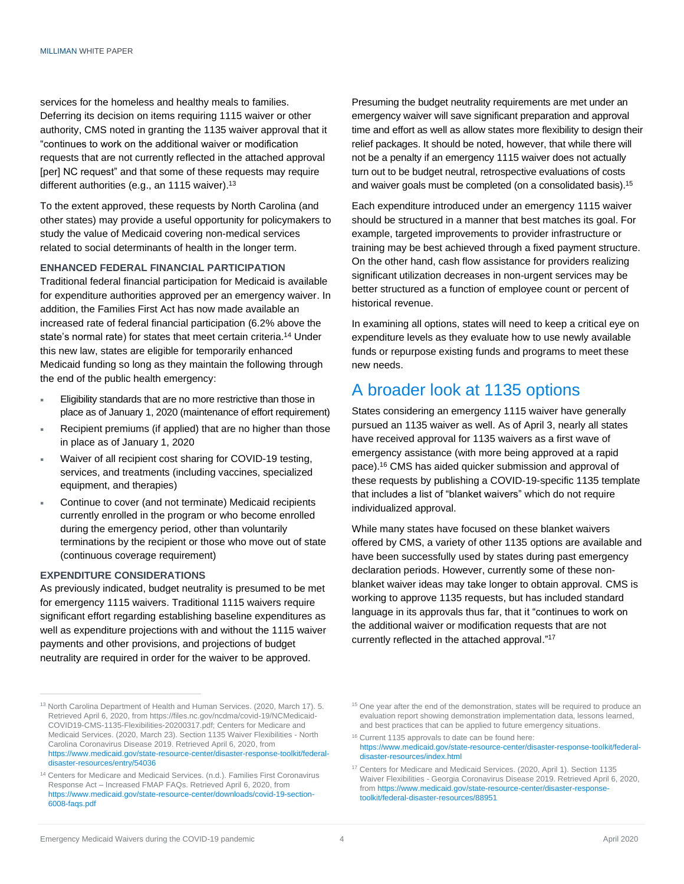services for the homeless and healthy meals to families. Deferring its decision on items requiring 1115 waiver or other authority, CMS noted in granting the 1135 waiver approval that it "continues to work on the additional waiver or modification requests that are not currently reflected in the attached approval [per] NC request" and that some of these requests may require different authorities (e.g., an 1115 waiver).<sup>13</sup>

To the extent approved, these requests by North Carolina (and other states) may provide a useful opportunity for policymakers to study the value of Medicaid covering non-medical services related to social determinants of health in the longer term.

#### **ENHANCED FEDERAL FINANCIAL PARTICIPATION**

Traditional federal financial participation for Medicaid is available for expenditure authorities approved per an emergency waiver. In addition, the Families First Act has now made available an increased rate of federal financial participation (6.2% above the state's normal rate) for states that meet certain criteria.<sup>14</sup> Under this new law, states are eligible for temporarily enhanced Medicaid funding so long as they maintain the following through the end of the public health emergency:

- Eligibility standards that are no more restrictive than those in place as of January 1, 2020 (maintenance of effort requirement)
- Recipient premiums (if applied) that are no higher than those in place as of January 1, 2020
- Waiver of all recipient cost sharing for COVID-19 testing, services, and treatments (including vaccines, specialized equipment, and therapies)
- Continue to cover (and not terminate) Medicaid recipients currently enrolled in the program or who become enrolled during the emergency period, other than voluntarily terminations by the recipient or those who move out of state (continuous coverage requirement)

#### **EXPENDITURE CONSIDERATIONS**

As previously indicated, budget neutrality is presumed to be met for emergency 1115 waivers. Traditional 1115 waivers require significant effort regarding establishing baseline expenditures as well as expenditure projections with and without the 1115 waiver payments and other provisions, and projections of budget neutrality are required in order for the waiver to be approved.

Presuming the budget neutrality requirements are met under an emergency waiver will save significant preparation and approval time and effort as well as allow states more flexibility to design their relief packages. It should be noted, however, that while there will not be a penalty if an emergency 1115 waiver does not actually turn out to be budget neutral, retrospective evaluations of costs and waiver goals must be completed (on a consolidated basis). 15

Each expenditure introduced under an emergency 1115 waiver should be structured in a manner that best matches its goal. For example, targeted improvements to provider infrastructure or training may be best achieved through a fixed payment structure. On the other hand, cash flow assistance for providers realizing significant utilization decreases in non-urgent services may be better structured as a function of employee count or percent of historical revenue.

In examining all options, states will need to keep a critical eye on expenditure levels as they evaluate how to use newly available funds or repurpose existing funds and programs to meet these new needs.

## A broader look at 1135 options

States considering an emergency 1115 waiver have generally pursued an 1135 waiver as well. As of April 3, nearly all states have received approval for 1135 waivers as a first wave of emergency assistance (with more being approved at a rapid pace). <sup>16</sup> CMS has aided quicker submission and approval of these requests by publishing a COVID-19-specific 1135 template that includes a list of "blanket waivers" which do not require individualized approval.

While many states have focused on these blanket waivers offered by CMS, a variety of other 1135 options are available and have been successfully used by states during past emergency declaration periods. However, currently some of these nonblanket waiver ideas may take longer to obtain approval. CMS is working to approve 1135 requests, but has included standard language in its approvals thus far, that it "continues to work on the additional waiver or modification requests that are not currently reflected in the attached approval." 17

<sup>&</sup>lt;sup>13</sup> North Carolina Department of Health and Human Services. (2020, March 17). 5. Retrieved April 6, 2020, fro[m https://files.nc.gov/ncdma/covid-19/NCMedicaid-](https://files.nc.gov/ncdma/covid-19/NCMedicaid-COVID19-CMS-1135-Flexibilities-20200317.pdf)[COVID19-CMS-1135-Flexibilities-20200317.pdf;](https://files.nc.gov/ncdma/covid-19/NCMedicaid-COVID19-CMS-1135-Flexibilities-20200317.pdf) Centers for Medicare and Medicaid Services. (2020, March 23). Section 1135 Waiver Flexibilities - North Carolina Coronavirus Disease 2019. Retrieved April 6, 2020, from [https://www.medicaid.gov/state-resource-center/disaster-response-toolkit/federal](https://www.medicaid.gov/state-resource-center/disaster-response-toolkit/federal-disaster-resources/entry/54036)[disaster-resources/entry/54036](https://www.medicaid.gov/state-resource-center/disaster-response-toolkit/federal-disaster-resources/entry/54036)

<sup>&</sup>lt;sup>14</sup> Centers for Medicare and Medicaid Services. (n.d.). Families First Coronavirus Response Act – Increased FMAP FAQs. Retrieved April 6, 2020, from [https://www.medicaid.gov/state-resource-center/downloads/covid-19-section-](https://www.medicaid.gov/state-resource-center/downloads/covid-19-section-6008-faqs.pdf)[6008-faqs.pdf](https://www.medicaid.gov/state-resource-center/downloads/covid-19-section-6008-faqs.pdf)

<sup>&</sup>lt;sup>15</sup> One year after the end of the demonstration, states will be required to produce an evaluation report showing demonstration implementation data, lessons learned, and best practices that can be applied to future emergency situations.

<sup>&</sup>lt;sup>16</sup> Current 1135 approvals to date can be found here: [https://www.medicaid.gov/state-resource-center/disaster-response-toolkit/federal](https://www.medicaid.gov/state-resource-center/disaster-response-toolkit/federal-disaster-resources/index.html)[disaster-resources/index.html](https://www.medicaid.gov/state-resource-center/disaster-response-toolkit/federal-disaster-resources/index.html)

<sup>&</sup>lt;sup>17</sup> Centers for Medicare and Medicaid Services. (2020, April 1). Section 1135 Waiver Flexibilities - Georgia Coronavirus Disease 2019. Retrieved April 6, 2020, fro[m https://www.medicaid.gov/state-resource-center/disaster-response](https://www.medicaid.gov/state-resource-center/disaster-response-toolkit/federal-disaster-resources/88951)[toolkit/federal-disaster-resources/88951](https://www.medicaid.gov/state-resource-center/disaster-response-toolkit/federal-disaster-resources/88951)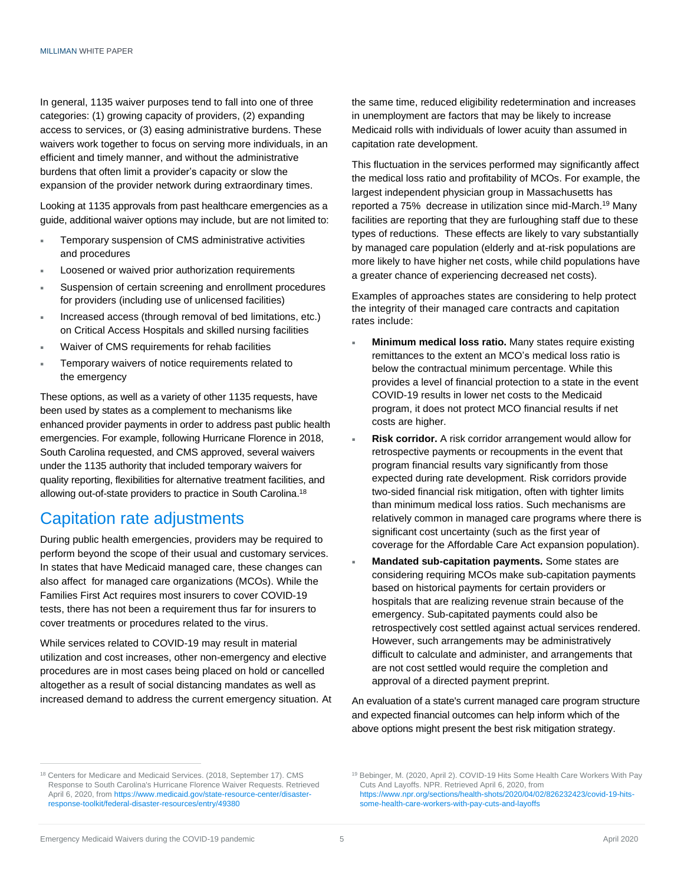In general, 1135 waiver purposes tend to fall into one of three categories: (1) growing capacity of providers, (2) expanding access to services, or (3) easing administrative burdens. These waivers work together to focus on serving more individuals, in an efficient and timely manner, and without the administrative burdens that often limit a provider's capacity or slow the expansion of the provider network during extraordinary times.

Looking at 1135 approvals from past healthcare emergencies as a guide, additional waiver options may include, but are not limited to:

- Temporary suspension of CMS administrative activities and procedures
- Loosened or waived prior authorization requirements
- Suspension of certain screening and enrollment procedures for providers (including use of unlicensed facilities)
- Increased access (through removal of bed limitations, etc.) on Critical Access Hospitals and skilled nursing facilities
- Waiver of CMS requirements for rehab facilities
- Temporary waivers of notice requirements related to the emergency

These options, as well as a variety of other 1135 requests, have been used by states as a complement to mechanisms like enhanced provider payments in order to address past public health emergencies. For example, following Hurricane Florence in 2018, South Carolina requested, and CMS approved, several waivers under the 1135 authority that included temporary waivers for quality reporting, flexibilities for alternative treatment facilities, and allowing out-of-state providers to practice in South Carolina.<sup>18</sup>

## Capitation rate adjustments

During public health emergencies, providers may be required to perform beyond the scope of their usual and customary services. In states that have Medicaid managed care, these changes can also affect for managed care organizations (MCOs). While the Families First Act requires most insurers to cover COVID-19 tests, there has not been a requirement thus far for insurers to cover treatments or procedures related to the virus.

While services related to COVID-19 may result in material utilization and cost increases, other non-emergency and elective procedures are in most cases being placed on hold or cancelled altogether as a result of social distancing mandates as well as increased demand to address the current emergency situation. At the same time, reduced eligibility redetermination and increases in unemployment are factors that may be likely to increase Medicaid rolls with individuals of lower acuity than assumed in capitation rate development.

This fluctuation in the services performed may significantly affect the medical loss ratio and profitability of MCOs. For example, the largest independent physician group in Massachusetts has reported a 75% decrease in utilization since mid-March.<sup>19</sup> Many facilities are reporting that they are furloughing staff due to these types of reductions. These effects are likely to vary substantially by managed care population (elderly and at-risk populations are more likely to have higher net costs, while child populations have a greater chance of experiencing decreased net costs).

Examples of approaches states are considering to help protect the integrity of their managed care contracts and capitation rates include:

- **Minimum medical loss ratio.** Many states require existing remittances to the extent an MCO's medical loss ratio is below the contractual minimum percentage. While this provides a level of financial protection to a state in the event COVID-19 results in lower net costs to the Medicaid program, it does not protect MCO financial results if net costs are higher.
- **Risk corridor.** A risk corridor arrangement would allow for retrospective payments or recoupments in the event that program financial results vary significantly from those expected during rate development. Risk corridors provide two-sided financial risk mitigation, often with tighter limits than minimum medical loss ratios. Such mechanisms are relatively common in managed care programs where there is significant cost uncertainty (such as the first year of coverage for the Affordable Care Act expansion population).
- **Mandated sub-capitation payments.** Some states are considering requiring MCOs make sub-capitation payments based on historical payments for certain providers or hospitals that are realizing revenue strain because of the emergency. Sub-capitated payments could also be retrospectively cost settled against actual services rendered. However, such arrangements may be administratively difficult to calculate and administer, and arrangements that are not cost settled would require the completion and approval of a directed payment preprint.

An evaluation of a state's current managed care program structure and expected financial outcomes can help inform which of the above options might present the best risk mitigation strategy.

<sup>&</sup>lt;sup>18</sup> Centers for Medicare and Medicaid Services. (2018, September 17). CMS Response to South Carolina's Hurricane Florence Waiver Requests. Retrieved April 6, 2020, fro[m https://www.medicaid.gov/state-resource-center/disaster](https://www.medicaid.gov/state-resource-center/disaster-response-toolkit/federal-disaster-resources/entry/49380)[response-toolkit/federal-disaster-resources/entry/49380](https://www.medicaid.gov/state-resource-center/disaster-response-toolkit/federal-disaster-resources/entry/49380)

<sup>19</sup> Bebinger, M. (2020, April 2). COVID-19 Hits Some Health Care Workers With Pay Cuts And Layoffs. NPR. Retrieved April 6, 2020, from [https://www.npr.org/sections/health-shots/2020/04/02/826232423/covid-19-hits](https://www.npr.org/sections/health-shots/2020/04/02/826232423/covid-19-hits-some-health-care-workers-with-pay-cuts-and-layoffs)[some-health-care-workers-with-pay-cuts-and-layoffs](https://www.npr.org/sections/health-shots/2020/04/02/826232423/covid-19-hits-some-health-care-workers-with-pay-cuts-and-layoffs)